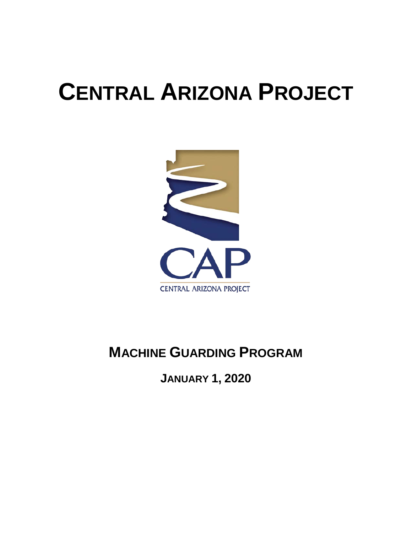# **CENTRAL ARIZONA PROJECT**



## **MACHINE GUARDING PROGRAM**

**JANUARY 1, 2020**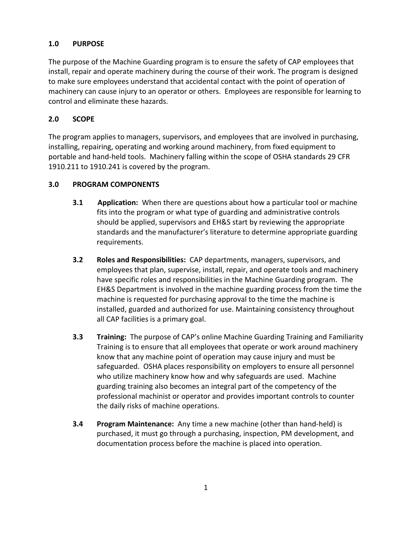#### **1.0 PURPOSE**

The purpose of the Machine Guarding program is to ensure the safety of CAP employees that install, repair and operate machinery during the course of their work. The program is designed to make sure employees understand that accidental contact with the point of operation of machinery can cause injury to an operator or others. Employees are responsible for learning to control and eliminate these hazards.

#### **2.0 SCOPE**

The program applies to managers, supervisors, and employees that are involved in purchasing, installing, repairing, operating and working around machinery, from fixed equipment to portable and hand-held tools. Machinery falling within the scope of OSHA standards 29 CFR 1910.211 to 1910.241 is covered by the program.

#### **3.0 PROGRAM COMPONENTS**

- **3.1 Application:** When there are questions about how a particular tool or machine fits into the program or what type of guarding and administrative controls should be applied, supervisors and EH&S start by reviewing the appropriate standards and the manufacturer's literature to determine appropriate guarding requirements.
- **3.2 Roles and Responsibilities:** CAP departments, managers, supervisors, and employees that plan, supervise, install, repair, and operate tools and machinery have specific roles and responsibilities in the Machine Guarding program. The EH&S Department is involved in the machine guarding process from the time the machine is requested for purchasing approval to the time the machine is installed, guarded and authorized for use. Maintaining consistency throughout all CAP facilities is a primary goal.
- **3.3 Training:** The purpose of CAP's online Machine Guarding Training and Familiarity Training is to ensure that all employees that operate or work around machinery know that any machine point of operation may cause injury and must be safeguarded. OSHA places responsibility on employers to ensure all personnel who utilize machinery know how and why safeguards are used. Machine guarding training also becomes an integral part of the competency of the professional machinist or operator and provides important controls to counter the daily risks of machine operations.
- **3.4 Program Maintenance:** Any time a new machine (other than hand-held) is purchased, it must go through a purchasing, inspection, PM development, and documentation process before the machine is placed into operation.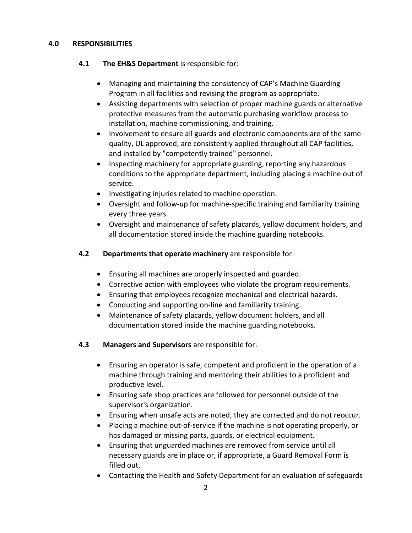#### **4.0 RESPONSIBILITIES**

- **4.1 The EH&S Department** is responsible for:
	- Managing and maintaining the consistency of CAP's Machine Guarding Program in all facilities and revising the program as appropriate.
	- Assisting departments with selection of proper machine guards or alternative protective measures from the automatic purchasing workflow process to installation, machine commissioning, and training.
	- Involvement to ensure all guards and electronic components are of the same quality, UL approved, are consistently applied throughout all CAP facilities, and installed by "competently trained" personnel.
	- Inspecting machinery for appropriate guarding, reporting any hazardous conditions to the appropriate department, including placing a machine out of service.
	- Investigating injuries related to machine operation.
	- Oversight and follow-up for machine-specific training and familiarity training every three years.
	- Oversight and maintenance of safety placards, yellow document holders, and all documentation stored inside the machine guarding notebooks.
- **4.2 Departments that operate machinery** are responsible for:
	- Ensuring all machines are properly inspected and guarded.
	- Corrective action with employees who violate the program requirements.
	- Ensuring that employees recognize mechanical and electrical hazards.
	- Conducting and supporting on-line and familiarity training.
	- Maintenance of safety placards, yellow document holders, and all documentation stored inside the machine guarding notebooks.
- **4.3 Managers and Supervisors** are responsible for:
	- Ensuring an operator is safe, competent and proficient in the operation of a machine through training and mentoring their abilities to a proficient and productive level.
	- Ensuring safe shop practices are followed for personnel outside of the supervisor's organization.
	- Ensuring when unsafe acts are noted, they are corrected and do not reoccur.
	- Placing a machine out-of-service if the machine is not operating properly, or has damaged or missing parts, guards, or electrical equipment.
	- Ensuring that unguarded machines are removed from service until all necessary guards are in place or, if appropriate, a Guard Removal Form is filled out.
	- Contacting the Health and Safety Department for an evaluation of safeguards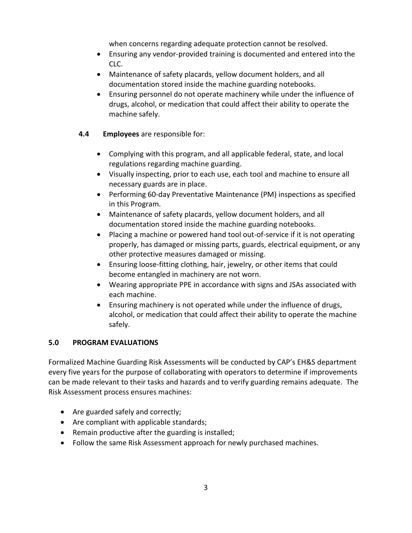when concerns regarding adequate protection cannot be resolved.

- Ensuring any vendor-provided training is documented and entered into the CLC.
- Maintenance of safety placards, yellow document holders, and all documentation stored inside the machine guarding notebooks.
- Ensuring personnel do not operate machinery while under the influence of drugs, alcohol, or medication that could affect their ability to operate the machine safely.
- **4.4 Employees** are responsible for:
	- Complying with this program, and all applicable federal, state, and local regulations regarding machine guarding.
	- Visually inspecting, prior to each use, each tool and machine to ensure all necessary guards are in place.
	- Performing 60-day Preventative Maintenance (PM) inspections as specified in this Program.
	- Maintenance of safety placards, yellow document holders, and all documentation stored inside the machine guarding notebooks.
	- Placing a machine or powered hand tool out-of-service if it is not operating properly, has damaged or missing parts, guards, electrical equipment, or any other protective measures damaged or missing.
	- Ensuring loose-fitting clothing, hair, jewelry, or other items that could become entangled in machinery are not worn.
	- Wearing appropriate PPE in accordance with signs and JSAs associated with each machine.
	- Ensuring machinery is not operated while under the influence of drugs, alcohol, or medication that could affect their ability to operate the machine safely.

### **5.0 PROGRAM EVALUATIONS**

Formalized Machine Guarding Risk Assessments will be conducted by CAP's EH&S department every five years for the purpose of collaborating with operators to determine if improvements can be made relevant to their tasks and hazards and to verify guarding remains adequate. The Risk Assessment process ensures machines:

- Are guarded safely and correctly;
- Are compliant with applicable standards;
- Remain productive after the guarding is installed;
- Follow the same Risk Assessment approach for newly purchased machines.